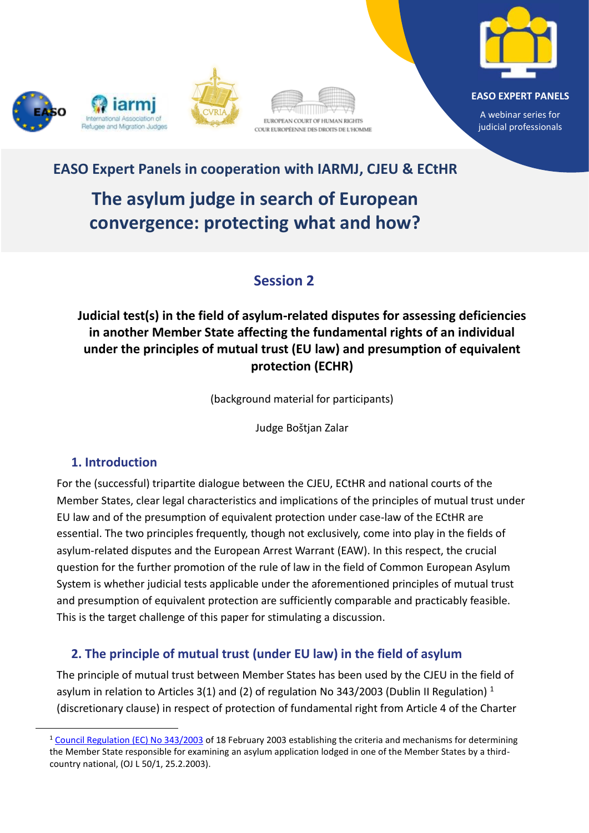









A webinar series for judicial professionals

# **EASO Expert Panels in cooperation with IARMJ, CJEU & ECtHR**

**The asylum judge in search of European convergence: protecting what and how?**

## **Session 2**

## **Judicial test(s) in the field of asylum-related disputes for assessing deficiencies in another Member State affecting the fundamental rights of an individual under the principles of mutual trust (EU law) and presumption of equivalent protection (ECHR)**

(background material for participants)

Judge Boštjan Zalar

### **1. Introduction**

For the (successful) tripartite dialogue between the CJEU, ECtHR and national courts of the Member States, clear legal characteristics and implications of the principles of mutual trust under EU law and of the presumption of equivalent protection under case-law of the ECtHR are essential. The two principles frequently, though not exclusively, come into play in the fields of asylum-related disputes and the European Arrest Warrant (EAW). In this respect, the crucial question for the further promotion of the rule of law in the field of Common European Asylum System is whether judicial tests applicable under the aforementioned principles of mutual trust and presumption of equivalent protection are sufficiently comparable and practicably feasible. This is the target challenge of this paper for stimulating a discussion.

## **2. The principle of mutual trust (under EU law) in the field of asylum**

The principle of mutual trust between Member States has been used by the CJEU in the field of asylum in relation to Articles 3(1) and (2) of regulation No 343/2003 (Dublin II Regulation)<sup>1</sup> (discretionary clause) in respect of protection of fundamental right from Article 4 of the Charter

<sup>1</sup> [Council Regulation \(EC\) No 343/2003](https://eur-lex.europa.eu/LexUriServ/LexUriServ.do?uri=OJ:L:2003:050:0001:0010:EN:PDF) of 18 February 2003 establishing the criteria and mechanisms for determining the Member State responsible for examining an asylum application lodged in one of the Member States by a thirdcountry national, (OJ L 50/1, 25.2.2003).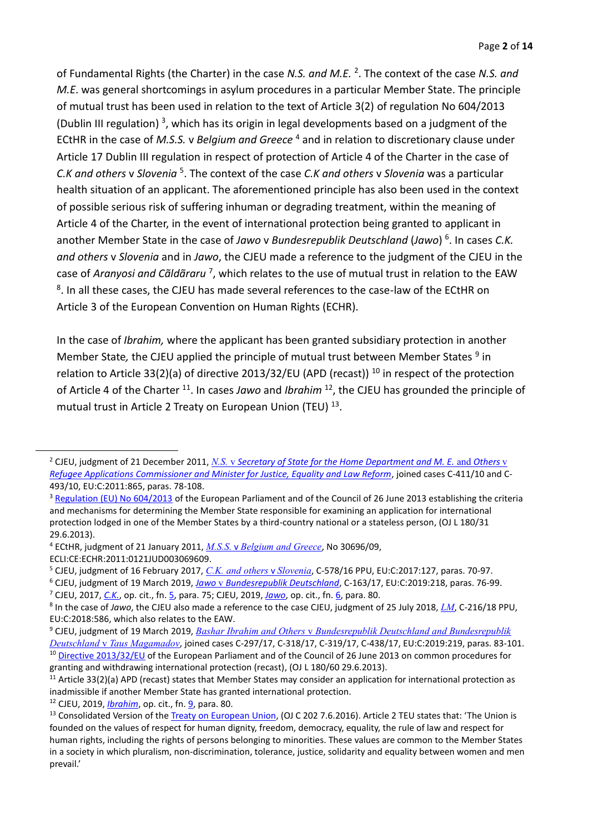<span id="page-1-4"></span><span id="page-1-3"></span>of Fundamental Rights (the Charter) in the case *N.S. and M.E.* <sup>2</sup> . The context of the case *N.S. and M.E*. was general shortcomings in asylum procedures in a particular Member State. The principle of mutual trust has been used in relation to the text of Article 3(2) of regulation No 604/2013 (Dublin III regulation)<sup>3</sup>, which has its origin in legal developments based on a judgment of the ECtHR in the case of *M.S.S.* v *Belgium and Greece* <sup>4</sup> and in relation to discretionary clause under Article 17 Dublin III regulation in respect of protection of Article 4 of the Charter in the case of *C.K and others* v *Slovenia* <sup>5</sup> . The context of the case *C.K and others* v *Slovenia* was a particular health situation of an applicant. The aforementioned principle has also been used in the context of possible serious risk of suffering inhuman or degrading treatment, within the meaning of Article 4 of the Charter, in the event of international protection being granted to applicant in another Member State in the case of *Jawo* v *Bundesrepublik Deutschland* (*Jawo*) 6 . In cases *C.K. and others* v *Slovenia* and in *Jawo*, the CJEU made a reference to the judgment of the CJEU in the case of Aranyosi and Cãldãraru<sup>7</sup>, which relates to the use of mutual trust in relation to the EAW <sup>8</sup>. In all these cases, the CJEU has made several references to the case-law of the ECtHR on Article 3 of the European Convention on Human Rights (ECHR).

<span id="page-1-2"></span><span id="page-1-1"></span><span id="page-1-0"></span>In the case of *Ibrahim,* where the applicant has been granted subsidiary protection in another Member State, the CJEU applied the principle of mutual trust between Member States <sup>9</sup> in relation to Article 33(2)(a) of directive 2013/32/EU (APD (recast))<sup>10</sup> in respect of the protection of Article 4 of the Charter <sup>11</sup>. In cases Jawo and *Ibrahim* <sup>12</sup>, the CJEU has grounded the principle of mutual trust in Article 2 Treaty on European Union (TEU)<sup>13</sup>.

- <sup>4</sup> ECtHR, judgment of 21 January 2011, *M.S.S.* v *[Belgium and Greece](http://hudoc.echr.coe.int/eng?i=001-103050)*, No 30696/09,
- ECLI:CE:ECHR:2011:0121JUD003069609.

<sup>2</sup> CJEU, judgment of 21 December 2011, *N.S.* v *[Secretary of State for the Home Department and M. E.](https://curia.europa.eu/juris/document/document.jsf?text=&docid=117187&pageIndex=0&doclang=en&mode=lst&dir=&occ=first&part=1&cid=10819537)* and *Others* [v](https://curia.europa.eu/juris/document/document.jsf?text=&docid=117187&pageIndex=0&doclang=en&mode=lst&dir=&occ=first&part=1&cid=10819537) *[Refugee Applications Commissioner and Minister for Justice, Equality and Law Reform](https://curia.europa.eu/juris/document/document.jsf?text=&docid=117187&pageIndex=0&doclang=en&mode=lst&dir=&occ=first&part=1&cid=10819537)*, joined cases C-411/10 and C-493/10, EU:C:2011:865, paras. 78-108.

<sup>&</sup>lt;sup>3</sup> [Regulation \(EU\) No 604/2013](https://eur-lex.europa.eu/legal-content/EN/ALL/?uri=CELEX:32013R0604) of the European Parliament and of the Council of 26 June 2013 establishing the criteria and mechanisms for determining the Member State responsible for examining an application for international protection lodged in one of the Member States by a third-country national or a stateless person, (OJ L 180/31 29.6.2013).

<sup>5</sup> CJEU, judgment of 16 February 2017, *[C.K. and others](https://curia.europa.eu/juris/document/document.jsf?text=&docid=187916&pageIndex=0&doclang=en&mode=lst&dir=&occ=first&part=1&cid=10823574)* v *Slovenia*, C-578/16 PPU, EU:C:2017:127, paras. 70-97.

<sup>6</sup> CJEU, judgment of 19 March 2019, *Jawo* v *[Bundesrepublik Deutschland](https://curia.europa.eu/juris/document/document.jsf?text=&docid=211803&pageIndex=0&doclang=en&mode=lst&dir=&occ=first&part=1&cid=10824459)*, C-163/17, EU:C:2019:218, paras. 76-99. <sup>7</sup> CJEU, 2017, *[C.K.](https://curia.europa.eu/juris/document/document.jsf?text=&docid=187916&pageIndex=0&doclang=en&mode=lst&dir=&occ=first&part=1&cid=10823574)*, op. cit., fn. 5, para. 75; CJEU, 2019, *[Jawo](https://curia.europa.eu/juris/document/document.jsf?text=&docid=211803&pageIndex=0&doclang=en&mode=lst&dir=&occ=first&part=1&cid=10824459)*, op. cit., fn. [6,](#page-1-0) para. 80.

<sup>8</sup> In the case of *Jawo*, the CJEU also made a reference to the case CJEU, judgment of 25 July 2018, *[LM](https://curia.europa.eu/juris/document/document.jsf?text=&docid=204384&pageIndex=0&doclang=EN&mode=lst&dir=&occ=first&part=1&cid=11618343)*, C-216/18 PPU, EU:C:2018:586, which also relates to the EAW.

<sup>9</sup> CJEU, judgment of 19 March 2019, *Bashar Ibrahim and Others* v *[Bundesrepublik Deutschland and Bundesrepublik](https://curia.europa.eu/juris/document/document.jsf?text=&docid=211801&pageIndex=0&doclang=en&mode=lst&dir=&occ=first&part=1&cid=11624046)  Deutschland* v *[Taus Magamadov](https://curia.europa.eu/juris/document/document.jsf?text=&docid=211801&pageIndex=0&doclang=en&mode=lst&dir=&occ=first&part=1&cid=11624046)*, joined cases C-297/17, C-318/17, C-319/17, C-438/17, EU:C:2019:219, paras. 83-101. <sup>10</sup> [Directive 2013/32/EU](https://eur-lex.europa.eu/legal-content/EN/ALL/?uri=CELEX:32013L0032) of the European Parliament and of the Council of 26 June 2013 on common procedures for granting and withdrawing international protection (recast), (OJ L 180/60 29.6.2013).

 $11$  Article 33(2)(a) APD (recast) states that Member States may consider an application for international protection as inadmissible if another Member State has granted international protection.

<sup>12</sup> CJEU, 2019, *[Ibrahim](https://curia.europa.eu/juris/document/document.jsf?text=&docid=211801&pageIndex=0&doclang=en&mode=lst&dir=&occ=first&part=1&cid=11624046)*, op. cit., fn. [9,](#page-1-1) para. 80.

<sup>&</sup>lt;sup>13</sup> Consolidated Version of the [Treaty on European Union,](https://eur-lex.europa.eu/legal-content/EN/TXT/?uri=CELEX%3A02016M%2FTXT-20200301) (OJ C 202 7.6.2016). Article 2 TEU states that: 'The Union is founded on the values of respect for human dignity, freedom, democracy, equality, the rule of law and respect for human rights, including the rights of persons belonging to minorities. These values are common to the Member States in a society in which pluralism, non-discrimination, tolerance, justice, solidarity and equality between women and men prevail.'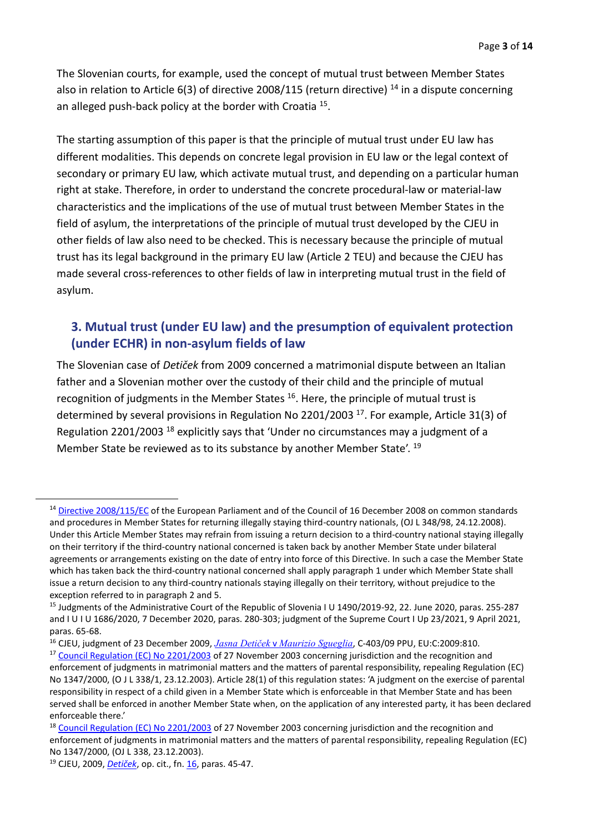The Slovenian courts, for example, used the concept of mutual trust between Member States also in relation to Article 6(3) of directive 2008/115 (return directive)  $^{14}$  in a dispute concerning an alleged push-back policy at the border with Croatia<sup>15</sup>.

The starting assumption of this paper is that the principle of mutual trust under EU law has different modalities. This depends on concrete legal provision in EU law or the legal context of secondary or primary EU law, which activate mutual trust, and depending on a particular human right at stake. Therefore, in order to understand the concrete procedural-law or material-law characteristics and the implications of the use of mutual trust between Member States in the field of asylum, the interpretations of the principle of mutual trust developed by the CJEU in other fields of law also need to be checked. This is necessary because the principle of mutual trust has its legal background in the primary EU law (Article 2 TEU) and because the CJEU has made several cross-references to other fields of law in interpreting mutual trust in the field of asylum.

#### <span id="page-2-0"></span>**3. Mutual trust (under EU law) and the presumption of equivalent protection (under ECHR) in non-asylum fields of law**

The Slovenian case of *Detiček* from 2009 concerned a matrimonial dispute between an Italian father and a Slovenian mother over the custody of their child and the principle of mutual recognition of judgments in the Member States <sup>16</sup>. Here, the principle of mutual trust is determined by several provisions in Regulation No 2201/2003<sup>17</sup>. For example, Article 31(3) of Regulation 2201/2003 <sup>18</sup> explicitly says that 'Under no circumstances may a judgment of a Member State be reviewed as to its substance by another Member State'. <sup>19</sup>

<sup>16</sup> CJEU, judgment of 23 December 2009, *Jasna Detiček* v *[Maurizio Sgueglia](https://curia.europa.eu/juris/document/document.jsf?text=&docid=72557&pageIndex=0&doclang=en&mode=lst&dir=&occ=first&part=1&cid=11762535)*, C-403/09 PPU, EU:C:2009:810.

<sup>&</sup>lt;sup>14</sup> [Directive 2008/115/EC](https://eur-lex.europa.eu/legal-content/EN/ALL/?uri=CELEX:32008L0115) of the European Parliament and of the Council of 16 December 2008 on common standards and procedures in Member States for returning illegally staying third-country nationals, (OJ L 348/98, 24.12.2008). Under this Article Member States may refrain from issuing a return decision to a third-country national staying illegally on their territory if the third-country national concerned is taken back by another Member State under bilateral agreements or arrangements existing on the date of entry into force of this Directive. In such a case the Member State which has taken back the third-country national concerned shall apply paragraph 1 under which Member State shall issue a return decision to any third-country nationals staying illegally on their territory, without prejudice to the exception referred to in paragraph 2 and 5.

<sup>&</sup>lt;sup>15</sup> Judgments of the Administrative Court of the Republic of Slovenia I U 1490/2019-92, 22. June 2020, paras. 255-287 and I U I U 1686/2020, 7 December 2020, paras. 280-303; judgment of the Supreme Court I Up 23/2021, 9 April 2021, paras. 65-68.

<sup>&</sup>lt;sup>17</sup> [Council Regulation \(EC\) No 2201/2003](https://eur-lex.europa.eu/legal-content/EN/LSU/?uri=CELEX:32003R2201) of 27 November 2003 concerning jurisdiction and the recognition and enforcement of judgments in matrimonial matters and the matters of parental responsibility, repealing Regulation (EC) No 1347/2000, (O J L 338/1, 23.12.2003). Article 28(1) of this regulation states: 'A judgment on the exercise of parental responsibility in respect of a child given in a Member State which is enforceable in that Member State and has been served shall be enforced in another Member State when, on the application of any interested party, it has been declared enforceable there.'

<sup>&</sup>lt;sup>18</sup> [Council Regulation \(EC\) No 2201/2003](https://eur-lex.europa.eu/legal-content/EN/TXT/?uri=CELEX:32003R2201) of 27 November 2003 concerning jurisdiction and the recognition and enforcement of judgments in matrimonial matters and the matters of parental responsibility, repealing Regulation (EC) No 1347/2000, (OJ L 338, 23.12.2003).

<sup>19</sup> CJEU, 2009, *[Detiček](https://curia.europa.eu/juris/document/document.jsf?text=&docid=72557&pageIndex=0&doclang=en&mode=lst&dir=&occ=first&part=1&cid=11762535)*, op. cit., fn. [16,](#page-2-0) paras. 45-47.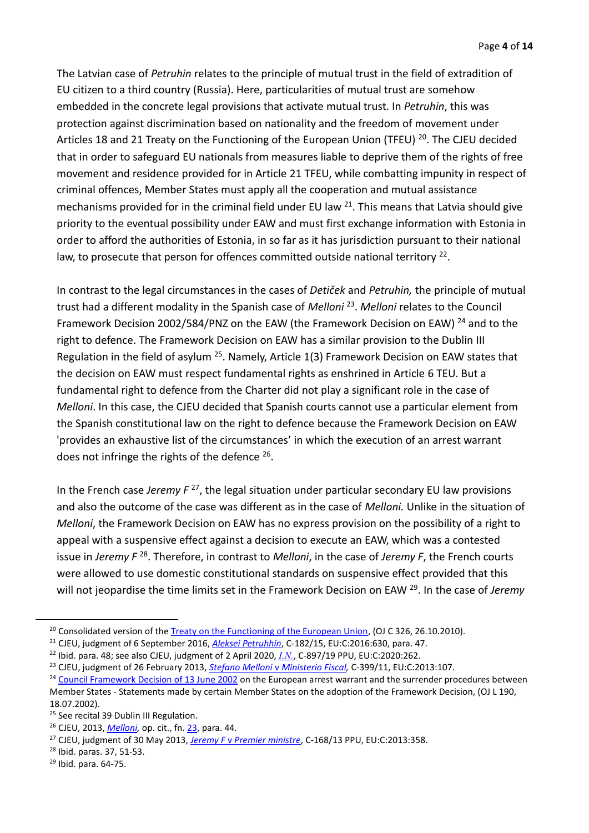The Latvian case of *Petruhin* relates to the principle of mutual trust in the field of extradition of EU citizen to a third country (Russia). Here, particularities of mutual trust are somehow embedded in the concrete legal provisions that activate mutual trust. In *Petruhin*, this was protection against discrimination based on nationality and the freedom of movement under Articles 18 and 21 Treaty on the Functioning of the European Union (TFEU) <sup>20</sup>. The CJEU decided that in order to safeguard EU nationals from measures liable to deprive them of the rights of free movement and residence provided for in Article 21 TFEU, while combatting impunity in respect of criminal offences, Member States must apply all the cooperation and mutual assistance mechanisms provided for in the criminal field under EU law  $21$ . This means that Latvia should give priority to the eventual possibility under EAW and must first exchange information with Estonia in order to afford the authorities of Estonia, in so far as it has jurisdiction pursuant to their national law, to prosecute that person for offences committed outside national territory<sup>22</sup>.

<span id="page-3-0"></span>In contrast to the legal circumstances in the cases of *Detiček* and *Petruhin,* the principle of mutual trust had a different modality in the Spanish case of *Melloni* <sup>23</sup> . *Melloni* relates to the Council Framework Decision 2002/584/PNZ on the EAW (the Framework Decision on EAW)<sup>24</sup> and to the right to defence. The Framework Decision on EAW has a similar provision to the Dublin III Regulation in the field of asylum <sup>25</sup>. Namely, Article 1(3) Framework Decision on EAW states that the decision on EAW must respect fundamental rights as enshrined in Article 6 TEU. But a fundamental right to defence from the Charter did not play a significant role in the case of *Melloni*. In this case, the CJEU decided that Spanish courts cannot use a particular element from the Spanish constitutional law on the right to defence because the Framework Decision on EAW 'provides an exhaustive list of the circumstances' in which the execution of an arrest warrant does not infringe the rights of the defence  $26$ .

<span id="page-3-2"></span><span id="page-3-1"></span>In the French case *Jeremy F* <sup>27</sup>, the legal situation under particular secondary EU law provisions and also the outcome of the case was different as in the case of *Melloni.* Unlike in the situation of *Melloni*, the Framework Decision on EAW has no express provision on the possibility of a right to appeal with a suspensive effect against a decision to execute an EAW, which was a contested issue in Jeremy F<sup>28</sup>. Therefore, in contrast to *Melloni*, in the case of Jeremy F, the French courts were allowed to use domestic constitutional standards on suspensive effect provided that this will not jeopardise the time limits set in the Framework Decision on EAW <sup>29</sup> . In the case of *Jeremy* 

<sup>&</sup>lt;sup>20</sup> Consolidated version of the [Treaty on the Functioning of the European Union,](https://eur-lex.europa.eu/legal-content/EN/TXT/?uri=CELEX:12012E/TXT) (OJ C 326, 26.10.2010).

<sup>21</sup> CJEU, judgment of 6 September 2016, *[Aleksei Petruhhin](https://curia.europa.eu/juris/document/document.jsf?text=&docid=183097&pageIndex=0&doclang=en&mode=lst&dir=&occ=first&part=1&cid=11765766)*, C-182/15, EU:C:2016:630, para. 47.

<sup>22</sup> Ibid. para. 48; see also CJEU, judgment of 2 April 2020, *[I.N.](https://curia.europa.eu/juris/document/document.jsf?text=&docid=224890&pageIndex=0&doclang=en&mode=lst&dir=&occ=first&part=1&cid=11767086)*, C-897/19 PPU, EU:C:2020:262.

<sup>23</sup> CJEU, judgment of 26 February 2013, *Stefano Melloni* v *[Ministerio Fiscal,](https://curia.europa.eu/juris/document/document.jsf?text=&docid=134203&pageIndex=0&doclang=en&mode=lst&dir=&occ=first&part=1&cid=11771804)* C-399/11, EU:C:2013:107. <sup>24</sup> [Council Framework Decision of 13 June 2002](https://eur-lex.europa.eu/legal-content/EN/TXT/?uri=celex%3A32002F0584) on the European arrest warrant and the surrender procedures between

Member States - Statements made by certain Member States on the adoption of the Framework Decision, (OJ L 190, 18.07.2002).

<sup>&</sup>lt;sup>25</sup> See recital 39 Dublin III Regulation.

<sup>26</sup> CJEU, 2013, *[Melloni,](https://curia.europa.eu/juris/document/document.jsf?text=&docid=134203&pageIndex=0&doclang=en&mode=lst&dir=&occ=first&part=1&cid=11771804)* op. cit., fn. [23,](#page-3-0) para. 44.

<sup>27</sup> CJEU, judgment of 30 May 2013, *Jeremy F* v *[Premier ministre](https://curia.europa.eu/juris/document/document.jsf?text=&docid=137836&pageIndex=0&doclang=en&mode=lst&dir=&occ=first&part=1&cid=11772281)*, C-168/13 PPU, EU:C:2013:358.

<sup>28</sup> Ibid. paras. 37, 51-53.

<sup>29</sup> Ibid. para. 64-75.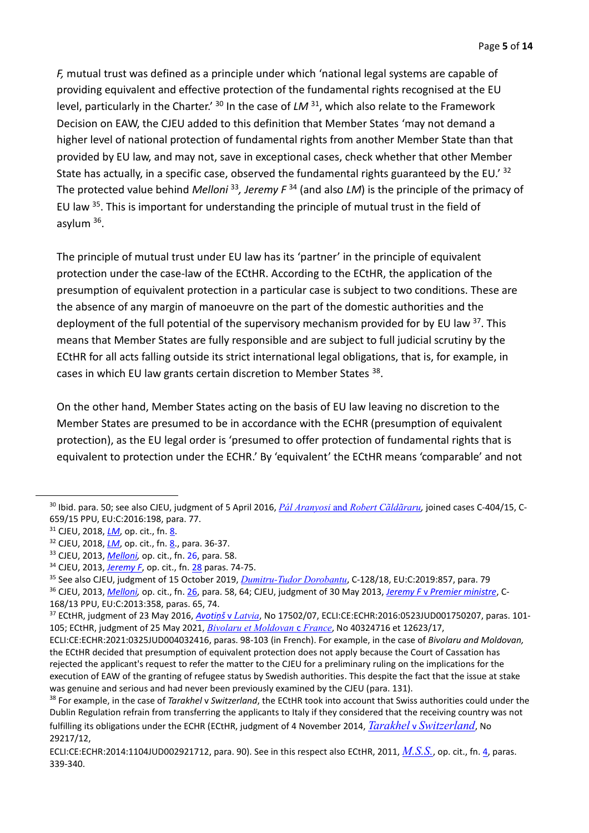<span id="page-4-1"></span>*F,* mutual trust was defined as a principle under which 'national legal systems are capable of providing equivalent and effective protection of the fundamental rights recognised at the EU level, particularly in the Charter.<sup>' 30</sup> In the case of *LM* <sup>31</sup>, which also relate to the Framework Decision on EAW, the CJEU added to this definition that Member States 'may not demand a higher level of national protection of fundamental rights from another Member State than that provided by EU law, and may not, save in exceptional cases, check whether that other Member State has actually, in a specific case, observed the fundamental rights guaranteed by the EU.' <sup>32</sup> The protected value behind *Melloni* <sup>33</sup> *, Jeremy F* <sup>34</sup> (and also *LM*) is the principle of the primacy of EU law <sup>35</sup>. This is important for understanding the principle of mutual trust in the field of asylum 36.

<span id="page-4-2"></span><span id="page-4-0"></span>The principle of mutual trust under EU law has its 'partner' in the principle of equivalent protection under the case-law of the ECtHR. According to the ECtHR, the application of the presumption of equivalent protection in a particular case is subject to two conditions. These are the absence of any margin of manoeuvre on the part of the domestic authorities and the deployment of the full potential of the supervisory mechanism provided for by EU law <sup>37</sup>. This means that Member States are fully responsible and are subject to full judicial scrutiny by the ECtHR for all acts falling outside its strict international legal obligations, that is, for example, in cases in which EU law grants certain discretion to Member States <sup>38</sup>.

On the other hand, Member States acting on the basis of EU law leaving no discretion to the Member States are presumed to be in accordance with the ECHR (presumption of equivalent protection), as the EU legal order is 'presumed to offer protection of fundamental rights that is equivalent to protection under the ECHR.' By 'equivalent' the ECtHR means 'comparable' and not

<sup>30</sup> Ibid. para. 50; see also CJEU, judgment of 5 April 2016, *Pál Aranyosi* and *[Robert Cãldãraru](https://curia.europa.eu/juris/document/document.jsf?text=&docid=175547&pageIndex=0&doclang=en&mode=lst&dir=&occ=first&part=1&cid=11773688),* joined cases C-404/15, C-659/15 PPU, EU:C:2016:198, para. 77.

<sup>&</sup>lt;sup>31</sup> CJEU, 2018, *[LM](https://curia.europa.eu/juris/document/document.jsf?text=&docid=204384&pageIndex=0&doclang=EN&mode=lst&dir=&occ=first&part=1&cid=11618343)*, op. cit., fn[. 8.](#page-1-2)

<sup>&</sup>lt;sup>32</sup> CJEU, 2018, *[LM](https://curia.europa.eu/juris/document/document.jsf?text=&docid=204384&pageIndex=0&doclang=EN&mode=lst&dir=&occ=first&part=1&cid=11618343)*, op. cit., fn[. 8.](#page-1-2), para. 36-37.

<sup>33</sup> CJEU, 2013, *[Melloni,](https://curia.europa.eu/juris/document/document.jsf?text=&docid=134203&pageIndex=0&doclang=en&mode=lst&dir=&occ=first&part=1&cid=11771804)* op. cit., fn. [26,](#page-3-1) para. 58.

<sup>34</sup> CJEU, 2013, *[Jeremy F](https://curia.europa.eu/juris/document/document.jsf?text=&docid=137836&pageIndex=0&doclang=en&mode=lst&dir=&occ=first&part=1&cid=11772281)*, op. cit., fn. [28](#page-3-2) paras. 74-75.

<sup>35</sup> See also CJEU, judgment of 15 October 2019, *[Dumitru-Tudor Dorobantu](https://curia.europa.eu/juris/document/document.jsf?text=&docid=219163&pageIndex=0&doclang=en&mode=lst&dir=&occ=first&part=1&cid=11831352)*, C-128/18, EU:C:2019:857, para. 79

<sup>36</sup> CJEU, 2013, *[Melloni,](https://curia.europa.eu/juris/document/document.jsf?text=&docid=134203&pageIndex=0&doclang=en&mode=lst&dir=&occ=first&part=1&cid=11771804)* op. cit., fn. [26,](#page-3-1) para. 58, 64; CJEU, judgment of 30 May 2013, *Jeremy F* v *[Premier ministre](https://curia.europa.eu/juris/document/document.jsf?text=&docid=137836&pageIndex=0&doclang=en&mode=lst&dir=&occ=first&part=1&cid=11772281)*, C-168/13 PPU, EU:C:2013:358, paras. 65, 74.

<sup>37</sup> ECtHR, judgment of 23 May 2016, *[Avotiņš](http://hudoc.echr.coe.int/eng?i=001-163114)* v *[Latvia](http://hudoc.echr.coe.int/eng?i=001-163114)*, No 17502/07, ECLI:CE:ECHR:2016:0523JUD001750207, paras. 101- 105; ECtHR, judgment of 25 May 2021, *[Bivolaru et Moldovan](http://hudoc.echr.coe.int/eng?i=001-208760)* c *France*, No 40324716 et 12623/17,

ECLI:CE:ECHR:2021:0325JUD004032416, paras. 98-103 (in French). For example, in the case of *Bivolaru and Moldovan,* the ECtHR decided that presumption of equivalent protection does not apply because the Court of Cassation has rejected the applicant's request to refer the matter to the CJEU for a preliminary ruling on the implications for the execution of EAW of the granting of refugee status by Swedish authorities. This despite the fact that the issue at stake was genuine and serious and had never been previously examined by the CJEU (para. 131).

<sup>38</sup> For example, in the case of *Tarakhel* v *Switzerland*, the ECtHR took into account that Swiss authorities could under the Dublin Regulation refrain from transferring the applicants to Italy if they considered that the receiving country was not fulfilling its obligations under the ECHR (ECtHR, judgment of 4 November 2014, *Tarakhel* v *[Switzerland](http://hudoc.echr.coe.int/eng?i=001-148070)*, No 29217/12,

ECLI:CE:ECHR:2014:1104JUD002921712, para. 90). See in this respect also ECtHR, 2011, *[M.S.S.](http://hudoc.echr.coe.int/eng?i=001-103050)*, op. cit., fn. [4,](#page-1-3) paras. 339-340.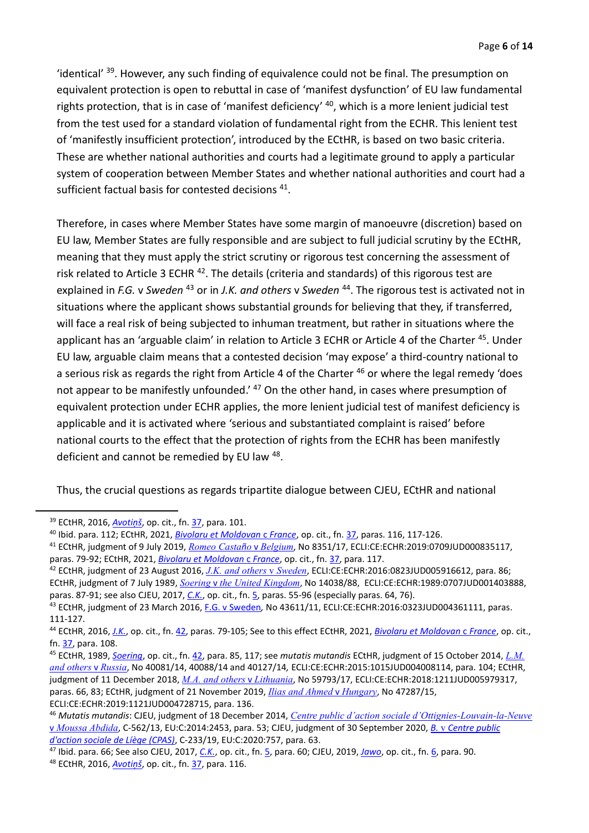'identical' <sup>39</sup>. However, any such finding of equivalence could not be final. The presumption on equivalent protection is open to rebuttal in case of 'manifest dysfunction' of EU law fundamental rights protection, that is in case of 'manifest deficiency' <sup>40</sup>, which is a more lenient judicial test from the test used for a standard violation of fundamental right from the ECHR. This lenient test of 'manifestly insufficient protection', introduced by the ECtHR, is based on two basic criteria. These are whether national authorities and courts had a legitimate ground to apply a particular system of cooperation between Member States and whether national authorities and court had a sufficient factual basis for contested decisions <sup>41</sup>.

<span id="page-5-1"></span><span id="page-5-0"></span>Therefore, in cases where Member States have some margin of manoeuvre (discretion) based on EU law, Member States are fully responsible and are subject to full judicial scrutiny by the ECtHR, meaning that they must apply the strict scrutiny or rigorous test concerning the assessment of risk related to Article 3 ECHR<sup>42</sup>. The details (criteria and standards) of this rigorous test are explained in *F.G.* v *Sweden* <sup>43</sup> or in *J.K. and others* v *Sweden* <sup>44</sup> . The rigorous test is activated not in situations where the applicant shows substantial grounds for believing that they, if transferred, will face a real risk of being subjected to inhuman treatment, but rather in situations where the applicant has an 'arguable claim' in relation to Article 3 ECHR or Article 4 of the Charter <sup>45</sup>. Under EU law, arguable claim means that a contested decision 'may expose' a third-country national to a serious risk as regards the right from Article 4 of the Charter <sup>46</sup> or where the legal remedy 'does not appear to be manifestly unfounded.'<sup>47</sup> On the other hand, in cases where presumption of equivalent protection under ECHR applies, the more lenient judicial test of manifest deficiency is applicable and it is activated where 'serious and substantiated complaint is raised' before national courts to the effect that the protection of rights from the ECHR has been manifestly deficient and cannot be remedied by EU law <sup>48</sup>.

Thus, the crucial questions as regards tripartite dialogue between CJEU, ECtHR and national

<sup>39</sup> ECtHR, 2016, *[Avotiņš](http://hudoc.echr.coe.int/eng?i=001-163114)*, op. cit., fn. [37,](#page-4-0) para. 101.

<sup>40</sup> Ibid. para. 112; ECtHR, 2021, *[Bivolaru et Moldovan](http://hudoc.echr.coe.int/eng?i=001-208760)* c *France*, op. cit., fn. [37,](#page-4-0) paras. 116, 117-126.

<sup>41</sup> ECtHR, judgment of 9 July 2019, *[Romeo Casta](http://hudoc.echr.coe.int/eng?i=001-194618)ño* v *Belgium*, No 8351/17, ECLI:CE:ECHR:2019:0709JUD000835117, paras. 79-92; ECtHR, 2021, *[Bivolaru et Moldovan](http://hudoc.echr.coe.int/eng?i=001-208760)* c *France*, op. cit., fn. [37,](#page-4-0) para. 117.

<sup>42</sup> ECtHR, judgment of 23 August 2016, *[J.K. and others](http://hudoc.echr.coe.int/eng?i=001-165442)* v *Sweden*, ECLI:CE:ECHR:2016:0823JUD005916612, para. 86; ECtHR, judgment of 7 July 1989, *Soering* v *[the United Kingdom](http://hudoc.echr.coe.int/eng?i=001-57619)*, No 14038/88, ECLI:CE:ECHR:1989:0707JUD001403888, paras. 87-91; see also CJEU, 2017, *[C.K.](https://curia.europa.eu/juris/document/document.jsf?text=&docid=187916&pageIndex=0&doclang=en&mode=lst&dir=&occ=first&part=1&cid=10823574)*, op. cit., fn. 5, paras. 55-96 (especially paras. 64, 76).

<sup>43</sup> ECtHR, judgment of 23 March 2016, [F.G. v Sweden](http://hudoc.echr.coe.int/eng?i=001-161829)*,* No 43611/11, ECLI:CE:ECHR:2016:0323JUD004361111, paras. 111-127.

<sup>44</sup> ECtHR, 2016, *[J.K.](http://hudoc.echr.coe.int/eng?i=001-165442)*, op. cit., fn. [42,](#page-5-0) paras. 79-105; See to this effect ECtHR, 2021, *[Bivolaru et Moldovan](http://hudoc.echr.coe.int/eng?i=001-208760)* c *France*, op. cit., fn. [37,](#page-4-0) para. 108.

<sup>45</sup> ECtHR, 1989, *[Soering](http://hudoc.echr.coe.int/eng?i=001-57619)*, op. cit., fn[. 42,](#page-5-0) para. 85, 117; see *mutatis mutandis* ECtHR, judgment of 15 October 2014, *[L.M.](http://hudoc.echr.coe.int/eng?i=001-157709)  [and others](http://hudoc.echr.coe.int/eng?i=001-157709)* v *Russia*, No 40081/14, 40088/14 and 40127/14*,* ECLI:CE:ECHR:2015:1015JUD004008114, para. 104; ECtHR, judgment of 11 December 2018, *[M.A. and others](http://hudoc.echr.coe.int/eng?i=001-188267)* v *Lithuania*, No 59793/17, ECLI:CE:ECHR:2018:1211JUD005979317, paras. 66, 83; ECtHR, judgment of 21 November 2019, *Ilias and Ahmed* v *[Hungary](http://hudoc.echr.coe.int/eng?i=001-198760)*, No 47287/15, ECLI:CE:ECHR:2019:1121JUD004728715, para. 136.

<sup>46</sup> *Mutatis mutandis*: CJEU, judgment of 18 December 2014, *[Centre public d'action sociale d'Ottignies-Louvain-la-Neuve](https://curia.europa.eu/juris/document/document.jsf?text=&docid=160943&pageIndex=0&doclang=en&mode=lst&dir=&occ=first&part=1&cid=11904868)*  [v](https://curia.europa.eu/juris/document/document.jsf?text=&docid=160943&pageIndex=0&doclang=en&mode=lst&dir=&occ=first&part=1&cid=11904868) *[Moussa Abdida](https://curia.europa.eu/juris/document/document.jsf?text=&docid=160943&pageIndex=0&doclang=en&mode=lst&dir=&occ=first&part=1&cid=11904868)*, C-562/13, EU:C:2014:2453, para. 53; CJEU, judgment of 30 September 2020, *B.* v *[Centre public](https://curia.europa.eu/juris/document/document.jsf?text=&docid=231822&pageIndex=0&doclang=en&mode=lst&dir=&occ=first&part=1&cid=11903757)  [d'action sociale de Líège \(CPAS\)](https://curia.europa.eu/juris/document/document.jsf?text=&docid=231822&pageIndex=0&doclang=en&mode=lst&dir=&occ=first&part=1&cid=11903757)*, C-233/19, EU:C:2020:757, para. 63.

<sup>47</sup> Ibid. para. 66; See also CJEU, 2017, *[C.K.](https://curia.europa.eu/juris/document/document.jsf?text=&docid=187916&pageIndex=0&doclang=en&mode=lst&dir=&occ=first&part=1&cid=10823574)*, op. cit., fn. 5, para. 60; CJEU, 2019, *[Jawo](https://curia.europa.eu/juris/document/document.jsf?text=&docid=211803&pageIndex=0&doclang=en&mode=lst&dir=&occ=first&part=1&cid=10824459)*, op. cit., fn. [6,](#page-1-0) para. 90. <sup>48</sup> ECtHR, 2016, *[Avotiņš](http://hudoc.echr.coe.int/eng?i=001-163114)*, op. cit., fn. [37,](#page-4-0) para. 116.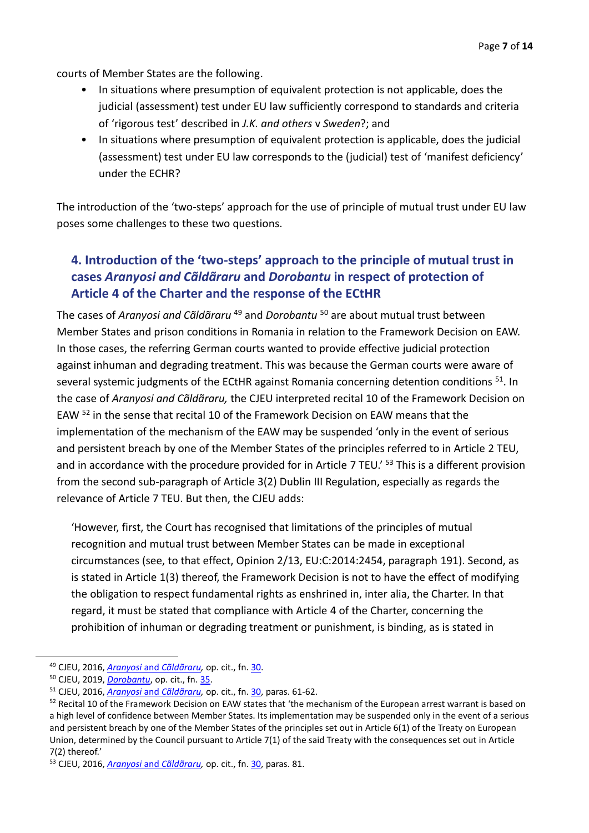courts of Member States are the following.

- In situations where presumption of equivalent protection is not applicable, does the judicial (assessment) test under EU law sufficiently correspond to standards and criteria of 'rigorous test' described in *J.K. and others* v *Sweden*?; and
- In situations where presumption of equivalent protection is applicable, does the judicial (assessment) test under EU law corresponds to the (judicial) test of 'manifest deficiency' under the ECHR?

The introduction of the 'two-steps' approach for the use of principle of mutual trust under EU law poses some challenges to these two questions.

### **4. Introduction of the 'two-steps' approach to the principle of mutual trust in cases** *Aranyosi and Cãldãraru* **and** *Dorobantu* **in respect of protection of Article 4 of the Charter and the response of the ECtHR**

<span id="page-6-0"></span>The cases of *Aranyosi and Cãldãraru* <sup>49</sup> and *Dorobantu* <sup>50</sup> are about mutual trust between Member States and prison conditions in Romania in relation to the Framework Decision on EAW. In those cases, the referring German courts wanted to provide effective judicial protection against inhuman and degrading treatment. This was because the German courts were aware of several systemic judgments of the ECtHR against Romania concerning detention conditions <sup>51</sup>. In the case of *Aranyosi and Cãldãraru,* the CJEU interpreted recital 10 of the Framework Decision on EAW <sup>52</sup> in the sense that recital 10 of the Framework Decision on EAW means that the implementation of the mechanism of the EAW may be suspended 'only in the event of serious and persistent breach by one of the Member States of the principles referred to in Article 2 TEU, and in accordance with the procedure provided for in Article 7 TEU.<sup>' 53</sup> This is a different provision from the second sub-paragraph of Article 3(2) Dublin III Regulation, especially as regards the relevance of Article 7 TEU. But then, the CJEU adds:

'However, first, the Court has recognised that limitations of the principles of mutual recognition and mutual trust between Member States can be made in exceptional circumstances (see, to that effect, Opinion 2/13, EU:C:2014:2454, paragraph 191). Second, as is stated in Article 1(3) thereof, the Framework Decision is not to have the effect of modifying the obligation to respect fundamental rights as enshrined in, inter alia, the Charter. In that regard, it must be stated that compliance with Article 4 of the Charter, concerning the prohibition of inhuman or degrading treatment or punishment, is binding, as is stated in

<sup>49</sup> CJEU, 2016, *Aranyosi* and *[Cãldãraru,](https://curia.europa.eu/juris/document/document.jsf?text=&docid=175547&pageIndex=0&doclang=en&mode=lst&dir=&occ=first&part=1&cid=11773688)* op. cit., fn. [30.](#page-4-1)

<sup>50</sup> CJEU, 2019, *[Dorobantu](https://curia.europa.eu/juris/document/document.jsf?text=&docid=219163&pageIndex=0&doclang=en&mode=lst&dir=&occ=first&part=1&cid=11831352)*, op. cit., fn[. 35.](#page-4-2)

<sup>51</sup> CJEU, 2016, *Aranyosi* and *[Cãldãraru,](https://curia.europa.eu/juris/document/document.jsf?text=&docid=175547&pageIndex=0&doclang=en&mode=lst&dir=&occ=first&part=1&cid=11773688)* op. cit., fn. [30,](#page-4-1) paras. 61-62.

<sup>&</sup>lt;sup>52</sup> Recital 10 of the Framework Decision on EAW states that 'the mechanism of the European arrest warrant is based on a high level of confidence between Member States. Its implementation may be suspended only in the event of a serious and persistent breach by one of the Member States of the principles set out in Article 6(1) of the Treaty on European Union, determined by the Council pursuant to Article 7(1) of the said Treaty with the consequences set out in Article 7(2) thereof.'

<sup>53</sup> CJEU, 2016, *Aranyosi* and *[Cãldãraru,](https://curia.europa.eu/juris/document/document.jsf?text=&docid=175547&pageIndex=0&doclang=en&mode=lst&dir=&occ=first&part=1&cid=11773688)* op. cit., fn. [30,](#page-4-1) paras. 81.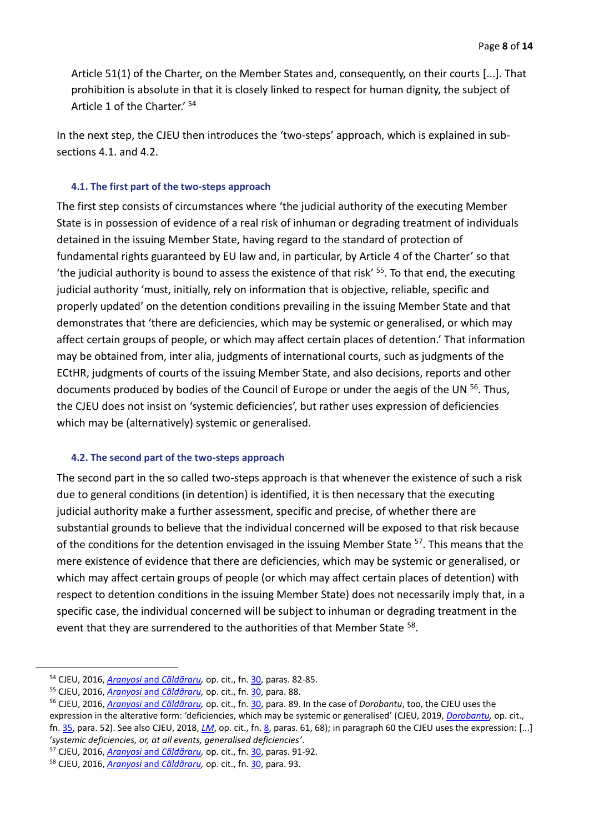Article 51(1) of the Charter, on the Member States and, consequently, on their courts [...]. That prohibition is absolute in that it is closely linked to respect for human dignity, the subject of Article 1 of the Charter.' <sup>54</sup>

In the next step, the CJEU then introduces the 'two-steps' approach, which is explained in subsections 4.1. and 4.2.

#### **4.1. The first part of the two-steps approach**

The first step consists of circumstances where 'the judicial authority of the executing Member State is in possession of evidence of a real risk of inhuman or degrading treatment of individuals detained in the issuing Member State, having regard to the standard of protection of fundamental rights guaranteed by EU law and, in particular, by Article 4 of the Charter' so that 'the judicial authority is bound to assess the existence of that risk' 55 . To that end, the executing judicial authority 'must, initially, rely on information that is objective, reliable, specific and properly updated' on the detention conditions prevailing in the issuing Member State and that demonstrates that 'there are deficiencies, which may be systemic or generalised, or which may affect certain groups of people, or which may affect certain places of detention.' That information may be obtained from, inter alia, judgments of international courts, such as judgments of the ECtHR, judgments of courts of the issuing Member State, and also decisions, reports and other documents produced by bodies of the Council of Europe or under the aegis of the UN <sup>56</sup>. Thus, the CJEU does not insist on 'systemic deficiencies', but rather uses expression of deficiencies which may be (alternatively) systemic or generalised.

#### **4.2. The second part of the two-steps approach**

The second part in the so called two-steps approach is that whenever the existence of such a risk due to general conditions (in detention) is identified, it is then necessary that the executing judicial authority make a further assessment, specific and precise, of whether there are substantial grounds to believe that the individual concerned will be exposed to that risk because of the conditions for the detention envisaged in the issuing Member State <sup>57</sup>. This means that the mere existence of evidence that there are deficiencies, which may be systemic or generalised, or which may affect certain groups of people (or which may affect certain places of detention) with respect to detention conditions in the issuing Member State) does not necessarily imply that, in a specific case, the individual concerned will be subject to inhuman or degrading treatment in the event that they are surrendered to the authorities of that Member State <sup>58</sup>.

<sup>54</sup> CJEU, 2016, *Aranyosi* and *[Cãldãraru,](https://curia.europa.eu/juris/document/document.jsf?text=&docid=175547&pageIndex=0&doclang=en&mode=lst&dir=&occ=first&part=1&cid=11773688)* op. cit., fn. [30,](#page-4-1) paras. 82-85.

<sup>55</sup> CJEU, 2016, *Aranyosi* and *[Cãldãraru,](https://curia.europa.eu/juris/document/document.jsf?text=&docid=175547&pageIndex=0&doclang=en&mode=lst&dir=&occ=first&part=1&cid=11773688)* op. cit., fn. [30,](#page-4-1) para. 88.

<sup>56</sup> CJEU, 2016, *Aranyosi* and *[Cãldãraru,](https://curia.europa.eu/juris/document/document.jsf?text=&docid=175547&pageIndex=0&doclang=en&mode=lst&dir=&occ=first&part=1&cid=11773688)* op. cit., fn. [30,](#page-4-1) para. 89. In the case of *Dorobantu*, too, the CJEU uses the expression in the alterative form: 'deficiencies, which may be systemic or generalised' (CJEU, 2019, *[Dorobantu,](https://curia.europa.eu/juris/document/document.jsf?text=&docid=219163&pageIndex=0&doclang=en&mode=lst&dir=&occ=first&part=1&cid=11831352)* op. cit., fn. [35,](#page-4-2) para. 52). See also CJEU, 2018, *[LM](https://curia.europa.eu/juris/document/document.jsf?text=&docid=204384&pageIndex=0&doclang=EN&mode=lst&dir=&occ=first&part=1&cid=11618343)*, op. cit., fn. [8,](#page-1-2) paras. 61, 68); in paragraph 60 the CJEU uses the expression: [...]

<sup>&#</sup>x27;*systemic deficiencies, or, at all events, generalised deficiencies'*.

<sup>57</sup> CJEU, 2016, *Aranyosi* and *[Cãldãraru,](https://curia.europa.eu/juris/document/document.jsf?text=&docid=175547&pageIndex=0&doclang=en&mode=lst&dir=&occ=first&part=1&cid=11773688)* op. cit., fn. [30,](#page-4-1) paras. 91-92.

<sup>58</sup> CJEU, 2016, *Aranyosi* and *[Cãldãraru,](https://curia.europa.eu/juris/document/document.jsf?text=&docid=175547&pageIndex=0&doclang=en&mode=lst&dir=&occ=first&part=1&cid=11773688)* op. cit., fn. [30,](#page-4-1) para. 93.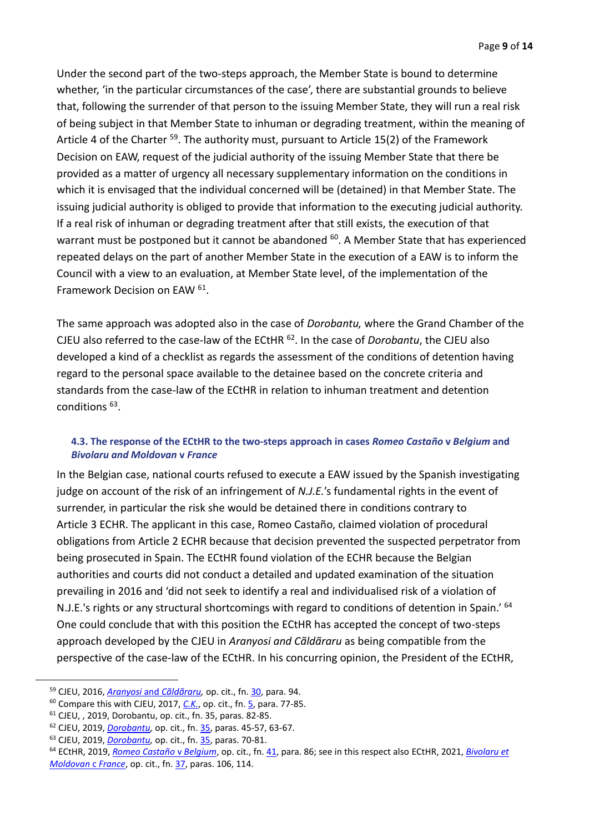Under the second part of the two-steps approach, the Member State is bound to determine whether, 'in the particular circumstances of the case', there are substantial grounds to believe that, following the surrender of that person to the issuing Member State, they will run a real risk of being subject in that Member State to inhuman or degrading treatment, within the meaning of Article 4 of the Charter <sup>59</sup>. The authority must, pursuant to Article 15(2) of the Framework Decision on EAW, request of the judicial authority of the issuing Member State that there be provided as a matter of urgency all necessary supplementary information on the conditions in which it is envisaged that the individual concerned will be (detained) in that Member State. The issuing judicial authority is obliged to provide that information to the executing judicial authority. If a real risk of inhuman or degrading treatment after that still exists, the execution of that warrant must be postponed but it cannot be abandoned <sup>60</sup>. A Member State that has experienced repeated delays on the part of another Member State in the execution of a EAW is to inform the Council with a view to an evaluation, at Member State level, of the implementation of the Framework Decision on EAW <sup>61</sup>.

The same approach was adopted also in the case of *Dorobantu,* where the Grand Chamber of the CJEU also referred to the case-law of the ECtHR <sup>62</sup> . In the case of *Dorobantu*, the CJEU also developed a kind of a checklist as regards the assessment of the conditions of detention having regard to the personal space available to the detainee based on the concrete criteria and standards from the case-law of the ECtHR in relation to inhuman treatment and detention conditions <sup>63</sup>.

#### **4.3. The response of the ECtHR to the two-steps approach in cases** *Romeo Castaño* **v** *Belgium* **and**  *Bivolaru and Moldovan* **v** *France*

In the Belgian case, national courts refused to execute a EAW issued by the Spanish investigating judge on account of the risk of an infringement of *N.J.E.*'s fundamental rights in the event of surrender, in particular the risk she would be detained there in conditions contrary to Article 3 ECHR. The applicant in this case, Romeo Castaño, claimed violation of procedural obligations from Article 2 ECHR because that decision prevented the suspected perpetrator from being prosecuted in Spain. The ECtHR found violation of the ECHR because the Belgian authorities and courts did not conduct a detailed and updated examination of the situation prevailing in 2016 and 'did not seek to identify a real and individualised risk of a violation of N.J.E.'s rights or any structural shortcomings with regard to conditions of detention in Spain.' <sup>64</sup> One could conclude that with this position the ECtHR has accepted the concept of two-steps approach developed by the CJEU in *Aranyosi and Cãldãraru* as being compatible from the perspective of the case-law of the ECtHR. In his concurring opinion, the President of the ECtHR,

<sup>59</sup> CJEU, 2016, *Aranyosi* and *[Cãldãraru,](https://curia.europa.eu/juris/document/document.jsf?text=&docid=175547&pageIndex=0&doclang=en&mode=lst&dir=&occ=first&part=1&cid=11773688)* op. cit., fn. [30,](#page-4-1) para. 94.

<sup>60</sup> Compare this with CJEU, 2017, *[C.K.](https://curia.europa.eu/juris/document/document.jsf?text=&docid=187916&pageIndex=0&doclang=en&mode=lst&dir=&occ=first&part=1&cid=10823574)*, op. cit., fn. 5, para. 77-85.

<sup>61</sup> CJEU, , 2019, Dorobantu, op. cit., fn. 35, paras. 82-85.

<sup>62</sup> CJEU, 2019, *[Dorobantu,](https://curia.europa.eu/juris/document/document.jsf?text=&docid=219163&pageIndex=0&doclang=en&mode=lst&dir=&occ=first&part=1&cid=11831352)* op. cit., fn. [35,](#page-4-2) paras. 45-57, 63-67.

<sup>63</sup> CJEU, 2019, *[Dorobantu,](https://curia.europa.eu/juris/document/document.jsf?text=&docid=219163&pageIndex=0&doclang=en&mode=lst&dir=&occ=first&part=1&cid=11831352)* op. cit., fn. [35,](#page-4-2) paras. 70-81.

<sup>64</sup> ECtHR, 2019, *[Romeo Castaño](http://hudoc.echr.coe.int/eng?i=001-194618)* v *Belgium*, op. cit., fn[. 41,](#page-5-1) para. 86; see in this respect also ECtHR, 2021, *[Bivolaru et](http://hudoc.echr.coe.int/eng?i=001-208760)  [Moldovan](http://hudoc.echr.coe.int/eng?i=001-208760)* c *France*, op. cit., fn. [37,](#page-4-0) paras. 106, 114.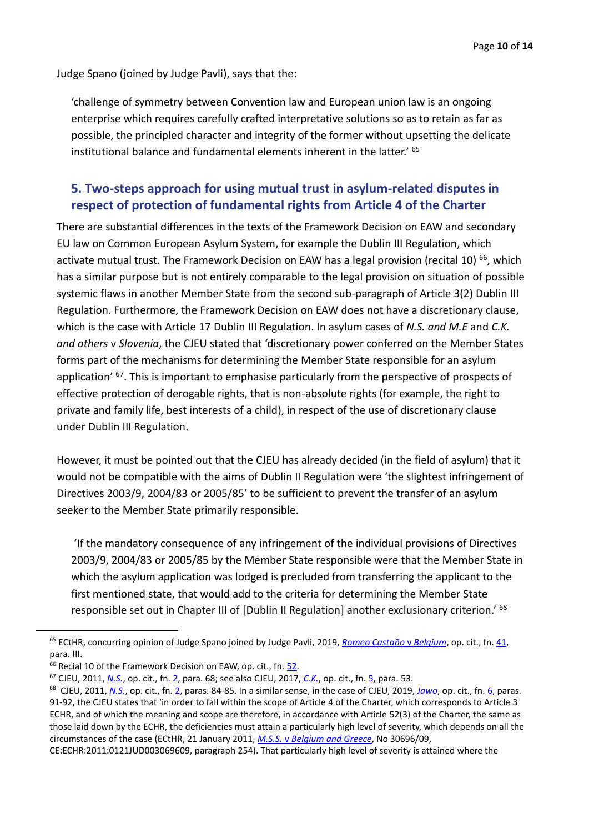Judge Spano (joined by Judge Pavli), says that the:

'challenge of symmetry between Convention law and European union law is an ongoing enterprise which requires carefully crafted interpretative solutions so as to retain as far as possible, the principled character and integrity of the former without upsetting the delicate institutional balance and fundamental elements inherent in the latter.' <sup>65</sup>

#### **5. Two-steps approach for using mutual trust in asylum-related disputes in respect of protection of fundamental rights from Article 4 of the Charter**

There are substantial differences in the texts of the Framework Decision on EAW and secondary EU law on Common European Asylum System, for example the Dublin III Regulation, which activate mutual trust. The Framework Decision on EAW has a legal provision (recital 10)<sup>66</sup>, which has a similar purpose but is not entirely comparable to the legal provision on situation of possible systemic flaws in another Member State from the second sub-paragraph of Article 3(2) Dublin III Regulation. Furthermore, the Framework Decision on EAW does not have a discretionary clause, which is the case with Article 17 Dublin III Regulation. In asylum cases of *N.S. and M.E* and *C.K. and others* v *Slovenia*, the CJEU stated that 'discretionary power conferred on the Member States forms part of the mechanisms for determining the Member State responsible for an asylum application' <sup>67</sup>. This is important to emphasise particularly from the perspective of prospects of effective protection of derogable rights, that is non-absolute rights (for example, the right to private and family life, best interests of a child), in respect of the use of discretionary clause under Dublin III Regulation.

However, it must be pointed out that the CJEU has already decided (in the field of asylum) that it would not be compatible with the aims of Dublin II Regulation were 'the slightest infringement of Directives 2003/9, 2004/83 or 2005/85' to be sufficient to prevent the transfer of an asylum seeker to the Member State primarily responsible.

'If the mandatory consequence of any infringement of the individual provisions of Directives 2003/9, 2004/83 or 2005/85 by the Member State responsible were that the Member State in which the asylum application was lodged is precluded from transferring the applicant to the first mentioned state, that would add to the criteria for determining the Member State responsible set out in Chapter III of [Dublin II Regulation] another exclusionary criterion.' <sup>68</sup>

<sup>65</sup> ECtHR, concurring opinion of Judge Spano joined by Judge Pavli, 2019, *[Romeo Castaño](https://hudoc.echr.coe.int/eng#{%22itemid%22:[%22001-194618%22]})* v *Belgium*, op. cit., fn. 41, para. III.

<sup>&</sup>lt;sup>66</sup> Recial 10 of the Framework Decision on EAW, op. cit., fn. [52.](#page-6-0)

<sup>67</sup> CJEU, 2011, *[N.S.](https://curia.europa.eu/juris/document/document.jsf?text=&docid=117187&pageIndex=0&doclang=en&mode=lst&dir=&occ=first&part=1&cid=10819537)*, op. cit., fn. [2,](#page-1-4) para. 68; see also CJEU, 2017, *[C.K.](https://curia.europa.eu/juris/document/document.jsf?text=&docid=187916&pageIndex=0&doclang=en&mode=lst&dir=&occ=first&part=1&cid=10823574)*, op. cit., fn. 5, para. 53.

<sup>68</sup> CJEU, 2011, *[N.S.](https://curia.europa.eu/juris/document/document.jsf?text=&docid=117187&pageIndex=0&doclang=en&mode=lst&dir=&occ=first&part=1&cid=10819537)*, op. cit., fn. [2,](#page-1-4) paras. 84-85. In a similar sense, in the case of CJEU, 2019, *[Jawo](https://curia.europa.eu/juris/document/document.jsf?text=&docid=211803&pageIndex=0&doclang=en&mode=lst&dir=&occ=first&part=1&cid=10824459)*, op. cit., fn. [6,](#page-1-0) paras. 91-92, the CJEU states that 'in order to fall within the scope of Article 4 of the Charter, which corresponds to Article 3 ECHR, and of which the meaning and scope are therefore, in accordance with Article 52(3) of the Charter, the same as those laid down by the ECHR, the deficiencies must attain a particularly high level of severity, which depends on all the circumstances of the case (ECtHR, 21 January 2011, *M.S.S.* v *[Belgium and Greece](http://hudoc.echr.coe.int/eng?i=001-103050)*, No 30696/09,

CE:ECHR:2011:0121JUD003069609, paragraph 254). That particularly high level of severity is attained where the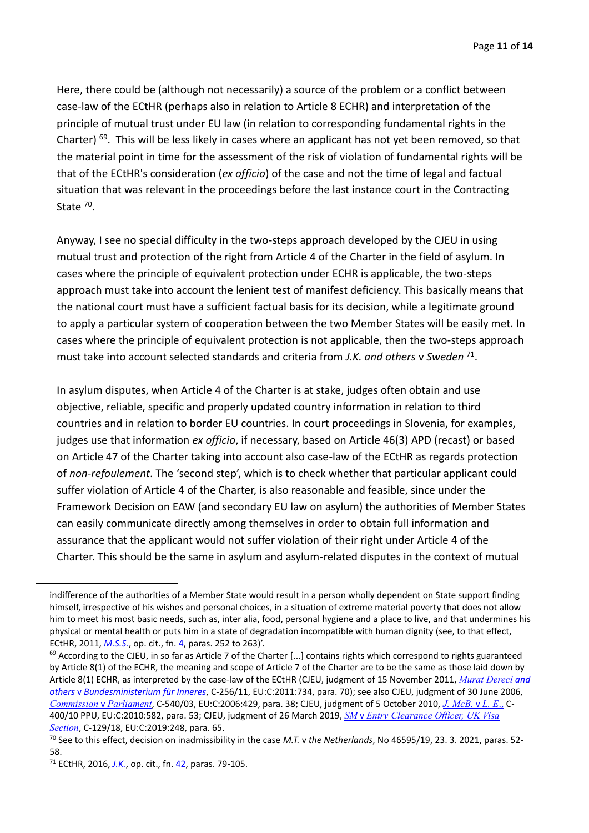Here, there could be (although not necessarily) a source of the problem or a conflict between case-law of the ECtHR (perhaps also in relation to Article 8 ECHR) and interpretation of the principle of mutual trust under EU law (in relation to corresponding fundamental rights in the Charter)<sup>69</sup>. This will be less likely in cases where an applicant has not yet been removed, so that the material point in time for the assessment of the risk of violation of fundamental rights will be that of the ECtHR's consideration (*ex officio*) of the case and not the time of legal and factual situation that was relevant in the proceedings before the last instance court in the Contracting State<sup>70</sup>.

Anyway, I see no special difficulty in the two-steps approach developed by the CJEU in using mutual trust and protection of the right from Article 4 of the Charter in the field of asylum. In cases where the principle of equivalent protection under ECHR is applicable, the two-steps approach must take into account the lenient test of manifest deficiency. This basically means that the national court must have a sufficient factual basis for its decision, while a legitimate ground to apply a particular system of cooperation between the two Member States will be easily met. In cases where the principle of equivalent protection is not applicable, then the two-steps approach must take into account selected standards and criteria from *J.K. and others* v *Sweden* <sup>71</sup> .

In asylum disputes, when Article 4 of the Charter is at stake, judges often obtain and use objective, reliable, specific and properly updated country information in relation to third countries and in relation to border EU countries. In court proceedings in Slovenia, for examples, judges use that information *ex officio*, if necessary, based on Article 46(3) APD (recast) or based on Article 47 of the Charter taking into account also case-law of the ECtHR as regards protection of *non-refoulement*. The 'second step', which is to check whether that particular applicant could suffer violation of Article 4 of the Charter, is also reasonable and feasible, since under the Framework Decision on EAW (and secondary EU law on asylum) the authorities of Member States can easily communicate directly among themselves in order to obtain full information and assurance that the applicant would not suffer violation of their right under Article 4 of the Charter. This should be the same in asylum and asylum-related disputes in the context of mutual

indifference of the authorities of a Member State would result in a person wholly dependent on State support finding himself, irrespective of his wishes and personal choices, in a situation of extreme material poverty that does not allow him to meet his most basic needs, such as, inter alia, food, personal hygiene and a place to live, and that undermines his physical or mental health or puts him in a state of degradation incompatible with human dignity (see, to that effect, ECtHR, 2011, *[M.S.S.](http://hudoc.echr.coe.int/eng?i=001-103050)*, op. cit., fn[. 4,](#page-1-3) paras. 252 to 263)'.

 $69$  According to the CJEU, in so far as Article 7 of the Charter [...] contains rights which correspond to rights guaranteed by Article 8(1) of the ECHR, the meaning and scope of Article 7 of the Charter are to be the same as those laid down by Article 8(1) ECHR, as interpreted by the case-law of the ECtHR (CJEU, judgment of 15 November 2011, *[Murat Dereci](https://curia.europa.eu/juris/document/document.jsf?text=&docid=114222&pageIndex=0&doclang=en&mode=lst&dir=&occ=first&part=1&cid=11842212) [and](https://curia.europa.eu/juris/document/document.jsf?text=&docid=114222&pageIndex=0&doclang=en&mode=lst&dir=&occ=first&part=1&cid=11842212)  others* v *[Bundesministerium für Inneres](https://curia.europa.eu/juris/document/document.jsf?text=&docid=114222&pageIndex=0&doclang=en&mode=lst&dir=&occ=first&part=1&cid=11842212)*, C-256/11, EU:C:2011:734, para. 70); see also CJEU, judgment of 30 June 2006, *[Commission](https://curia.europa.eu/juris/document/document.jsf?text=&docid=55770&pageIndex=0&doclang=en&mode=lst&dir=&occ=first&part=1&cid=11850165)* v *Parliament*, C-540/03, EU:C:2006:429, para. 38; CJEU, judgment of 5 October 2010, *[J. McB.](https://curia.europa.eu/juris/document/document.jsf?text=&docid=81398&pageIndex=0&doclang=en&mode=lst&dir=&occ=first&part=1&cid=11854145)* v *L. E*[.,](https://curia.europa.eu/juris/document/document.jsf?text=&docid=81398&pageIndex=0&doclang=en&mode=lst&dir=&occ=first&part=1&cid=11854145) C-400/10 PPU, EU:C:2010:582, para. 53; CJEU, judgment of 26 March 2019, *SM* v *[Entry Clearance Officer, UK Visa](https://curia.europa.eu/juris/document/document.jsf?text=&docid=212226&pageIndex=0&doclang=en&mode=lst&dir=&occ=first&part=1&cid=11854943)  [Section](https://curia.europa.eu/juris/document/document.jsf?text=&docid=212226&pageIndex=0&doclang=en&mode=lst&dir=&occ=first&part=1&cid=11854943)*, C-129/18, EU:C:2019:248, para. 65.

<sup>70</sup> See to this effect, decision on inadmissibility in the case *M.T.* v *the Netherlands*, No 46595/19, 23. 3. 2021, paras. 52- 58.

<sup>71</sup> ECtHR, 2016, *[J.K.](http://hudoc.echr.coe.int/eng?i=001-165442)*, op. cit., fn. [42,](#page-5-0) paras. 79-105.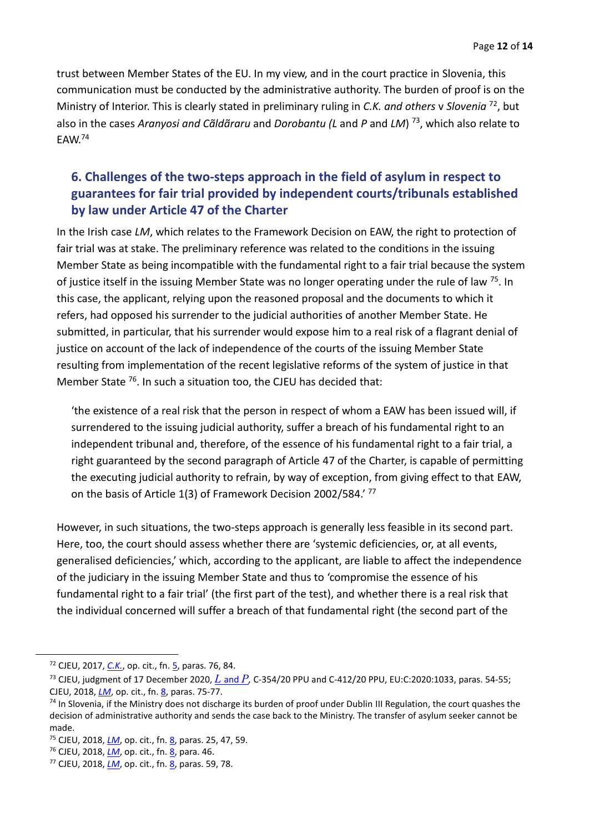trust between Member States of the EU. In my view, and in the court practice in Slovenia, this communication must be conducted by the administrative authority. The burden of proof is on the Ministry of Interior. This is clearly stated in preliminary ruling in *C.K. and others* v *Slovenia* <sup>72</sup> , but also in the cases *Aranyosi and Cãldãraru* and *Dorobantu (L* and *P* and *LM*) 73 , which also relate to EAW.<sup>74</sup>

### **6. Challenges of the two-steps approach in the field of asylum in respect to guarantees for fair trial provided by independent courts/tribunals established by law under Article 47 of the Charter**

In the Irish case *LM*, which relates to the Framework Decision on EAW, the right to protection of fair trial was at stake. The preliminary reference was related to the conditions in the issuing Member State as being incompatible with the fundamental right to a fair trial because the system of justice itself in the issuing Member State was no longer operating under the rule of law <sup>75</sup>. In this case, the applicant, relying upon the reasoned proposal and the documents to which it refers, had opposed his surrender to the judicial authorities of another Member State. He submitted, in particular, that his surrender would expose him to a real risk of a flagrant denial of justice on account of the lack of independence of the courts of the issuing Member State resulting from implementation of the recent legislative reforms of the system of justice in that Member State <sup>76</sup>. In such a situation too, the CJEU has decided that:

'the existence of a real risk that the person in respect of whom a EAW has been issued will, if surrendered to the issuing judicial authority, suffer a breach of his fundamental right to an independent tribunal and, therefore, of the essence of his fundamental right to a fair trial, a right guaranteed by the second paragraph of Article 47 of the Charter, is capable of permitting the executing judicial authority to refrain, by way of exception, from giving effect to that EAW, on the basis of Article 1(3) of Framework Decision 2002/584.'<sup>77</sup>

However, in such situations, the two-steps approach is generally less feasible in its second part. Here, too, the court should assess whether there are 'systemic deficiencies, or, at all events, generalised deficiencies,' which, according to the applicant, are liable to affect the independence of the judiciary in the issuing Member State and thus to 'compromise the essence of his fundamental right to a fair trial' (the first part of the test), and whether there is a real risk that the individual concerned will suffer a breach of that fundamental right (the second part of the

<sup>72</sup> CJEU, 2017, *[C.K.](https://curia.europa.eu/juris/document/document.jsf?text=&docid=187916&pageIndex=0&doclang=en&mode=lst&dir=&occ=first&part=1&cid=10823574)*, op. cit., fn. 5, paras. 76, 84.

<sup>73</sup> CJEU, judgment of 17 December 2020, *L* [and](https://curia.europa.eu/juris/document/document.jsf?text=&docid=235719&pageIndex=0&doclang=en&mode=lst&dir=&occ=first&part=1&cid=11847382) *P,* C-354/20 PPU and C-412/20 PPU, EU:C:2020:1033, paras. 54-55; CJEU, 2018, *[LM](https://curia.europa.eu/juris/document/document.jsf?text=&docid=204384&pageIndex=0&doclang=EN&mode=lst&dir=&occ=first&part=1&cid=11618343)*, op. cit., fn[. 8,](#page-1-2) paras. 75-77.

<sup>&</sup>lt;sup>74</sup> In Slovenia, if the Ministry does not discharge its burden of proof under Dublin III Regulation, the court quashes the decision of administrative authority and sends the case back to the Ministry. The transfer of asylum seeker cannot be made.

<sup>75</sup> CJEU, 2018, *[LM](https://curia.europa.eu/juris/document/document.jsf?text=&docid=204384&pageIndex=0&doclang=EN&mode=lst&dir=&occ=first&part=1&cid=11618343)*, op. cit., fn[. 8,](#page-1-2) paras. 25, 47, 59.

<sup>76</sup> CJEU, 2018, *[LM](https://curia.europa.eu/juris/document/document.jsf?text=&docid=204384&pageIndex=0&doclang=EN&mode=lst&dir=&occ=first&part=1&cid=11618343)*, op. cit., fn[. 8,](#page-1-2) para. 46.

<sup>77</sup> CJEU, 2018, *[LM](https://curia.europa.eu/juris/document/document.jsf?text=&docid=204384&pageIndex=0&doclang=EN&mode=lst&dir=&occ=first&part=1&cid=11618343)*, op. cit., fn[. 8,](#page-1-2) paras. 59, 78.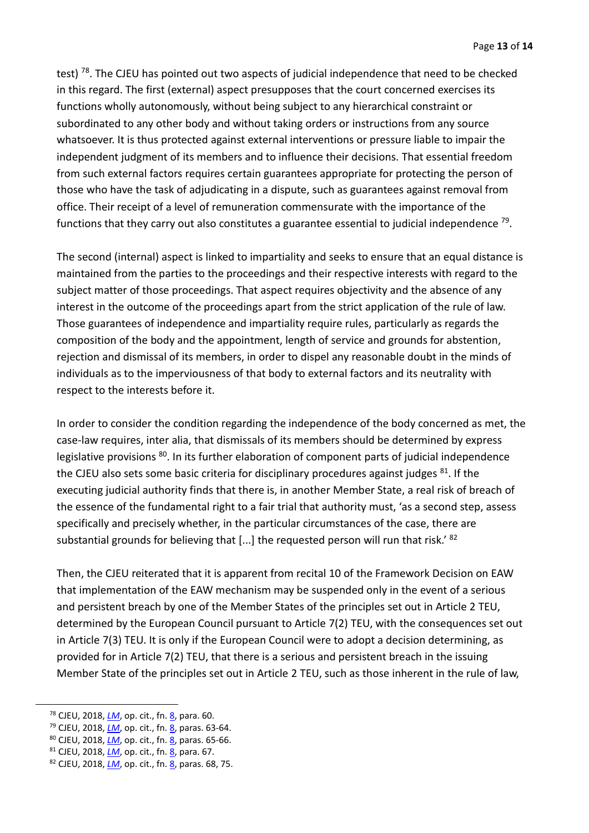test)<sup>78</sup>. The CJEU has pointed out two aspects of judicial independence that need to be checked in this regard. The first (external) aspect presupposes that the court concerned exercises its functions wholly autonomously, without being subject to any hierarchical constraint or subordinated to any other body and without taking orders or instructions from any source whatsoever. It is thus protected against external interventions or pressure liable to impair the independent judgment of its members and to influence their decisions. That essential freedom from such external factors requires certain guarantees appropriate for protecting the person of those who have the task of adjudicating in a dispute, such as guarantees against removal from office. Their receipt of a level of remuneration commensurate with the importance of the functions that they carry out also constitutes a guarantee essential to judicial independence  $^{79}$ .

The second (internal) aspect is linked to impartiality and seeks to ensure that an equal distance is maintained from the parties to the proceedings and their respective interests with regard to the subject matter of those proceedings. That aspect requires objectivity and the absence of any interest in the outcome of the proceedings apart from the strict application of the rule of law. Those guarantees of independence and impartiality require rules, particularly as regards the composition of the body and the appointment, length of service and grounds for abstention, rejection and dismissal of its members, in order to dispel any reasonable doubt in the minds of individuals as to the imperviousness of that body to external factors and its neutrality with respect to the interests before it.

In order to consider the condition regarding the independence of the body concerned as met, the case-law requires, inter alia, that dismissals of its members should be determined by express legislative provisions <sup>80</sup>. In its further elaboration of component parts of judicial independence the CJEU also sets some basic criteria for disciplinary procedures against judges <sup>81</sup>. If the executing judicial authority finds that there is, in another Member State, a real risk of breach of the essence of the fundamental right to a fair trial that authority must, 'as a second step, assess specifically and precisely whether, in the particular circumstances of the case, there are substantial grounds for believing that [...] the requested person will run that risk.' <sup>82</sup>

Then, the CJEU reiterated that it is apparent from recital 10 of the Framework Decision on EAW that implementation of the EAW mechanism may be suspended only in the event of a serious and persistent breach by one of the Member States of the principles set out in Article 2 TEU, determined by the European Council pursuant to Article 7(2) TEU, with the consequences set out in Article 7(3) TEU. It is only if the European Council were to adopt a decision determining, as provided for in Article 7(2) TEU, that there is a serious and persistent breach in the issuing Member State of the principles set out in Article 2 TEU, such as those inherent in the rule of law,

<sup>78</sup> CJEU, 2018, *[LM](https://curia.europa.eu/juris/document/document.jsf?text=&docid=204384&pageIndex=0&doclang=EN&mode=lst&dir=&occ=first&part=1&cid=11618343)*, op. cit., fn[. 8,](#page-1-2) para. 60.

<sup>&</sup>lt;sup>79</sup> CJEU, 2018, *[LM](https://curia.europa.eu/juris/document/document.jsf?text=&docid=204384&pageIndex=0&doclang=EN&mode=lst&dir=&occ=first&part=1&cid=11618343)*, op. cit., fn[. 8,](#page-1-2) paras. 63-64.

<sup>80</sup> CJEU, 2018, *[LM](https://curia.europa.eu/juris/document/document.jsf?text=&docid=204384&pageIndex=0&doclang=EN&mode=lst&dir=&occ=first&part=1&cid=11618343)*, op. cit., fn[. 8,](#page-1-2) paras. 65-66.

<sup>81</sup> CJEU, 2018, *[LM](https://curia.europa.eu/juris/document/document.jsf?text=&docid=204384&pageIndex=0&doclang=EN&mode=lst&dir=&occ=first&part=1&cid=11618343)*, op. cit., fn[. 8,](#page-1-2) para. 67.

<sup>82</sup> CJEU, 2018, *[LM](https://curia.europa.eu/juris/document/document.jsf?text=&docid=204384&pageIndex=0&doclang=EN&mode=lst&dir=&occ=first&part=1&cid=11618343)*, op. cit., fn[. 8,](#page-1-2) paras. 68, 75.